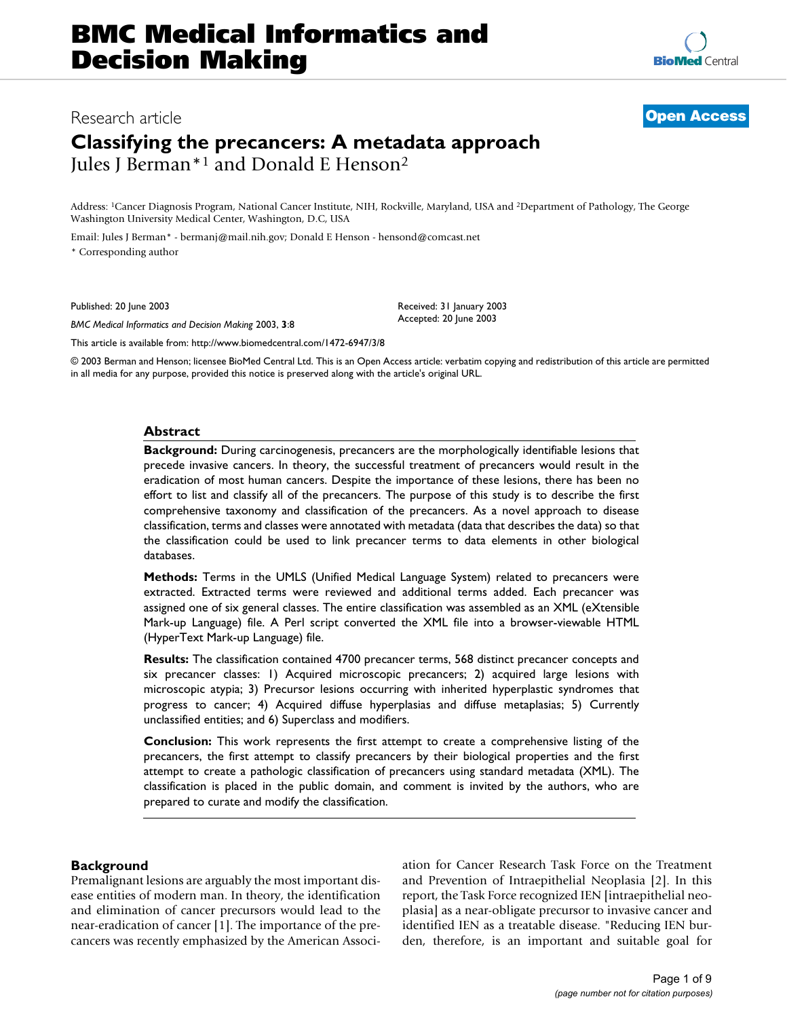# **Classifying the precancers: A metadata approach** Jules J Berman\*1 and Donald E Henson2

Address: 1Cancer Diagnosis Program, National Cancer Institute, NIH, Rockville, Maryland, USA and 2Department of Pathology, The George Washington University Medical Center, Washington, D.C, USA

Email: Jules J Berman\* - bermanj@mail.nih.gov; Donald E Henson - hensond@comcast.net \* Corresponding author

Published: 20 June 2003

*BMC Medical Informatics and Decision Making* 2003, **3**:8

[This article is available from: http://www.biomedcentral.com/1472-6947/3/8](http://www.biomedcentral.com/1472-6947/3/8)

© 2003 Berman and Henson; licensee BioMed Central Ltd. This is an Open Access article: verbatim copying and redistribution of this article are permitted in all media for any purpose, provided this notice is preserved along with the article's original URL.

#### **Abstract**

**Background:** During carcinogenesis, precancers are the morphologically identifiable lesions that precede invasive cancers. In theory, the successful treatment of precancers would result in the eradication of most human cancers. Despite the importance of these lesions, there has been no effort to list and classify all of the precancers. The purpose of this study is to describe the first comprehensive taxonomy and classification of the precancers. As a novel approach to disease classification, terms and classes were annotated with metadata (data that describes the data) so that the classification could be used to link precancer terms to data elements in other biological databases.

**Methods:** Terms in the UMLS (Unified Medical Language System) related to precancers were extracted. Extracted terms were reviewed and additional terms added. Each precancer was assigned one of six general classes. The entire classification was assembled as an XML (eXtensible Mark-up Language) file. A Perl script converted the XML file into a browser-viewable HTML (HyperText Mark-up Language) file.

**Results:** The classification contained 4700 precancer terms, 568 distinct precancer concepts and six precancer classes: 1) Acquired microscopic precancers; 2) acquired large lesions with microscopic atypia; 3) Precursor lesions occurring with inherited hyperplastic syndromes that progress to cancer; 4) Acquired diffuse hyperplasias and diffuse metaplasias; 5) Currently unclassified entities; and 6) Superclass and modifiers.

**Conclusion:** This work represents the first attempt to create a comprehensive listing of the precancers, the first attempt to classify precancers by their biological properties and the first attempt to create a pathologic classification of precancers using standard metadata (XML). The classification is placed in the public domain, and comment is invited by the authors, who are prepared to curate and modify the classification.

# **Background**

Premalignant lesions are arguably the most important disease entities of modern man. In theory, the identification and elimination of cancer precursors would lead to the near-eradication of cancer [1]. The importance of the precancers was recently emphasized by the American Association for Cancer Research Task Force on the Treatment and Prevention of Intraepithelial Neoplasia [2]. In this report, the Task Force recognized IEN [intraepithelial neoplasia] as a near-obligate precursor to invasive cancer and identified IEN as a treatable disease. "Reducing IEN burden, therefore, is an important and suitable goal for



Received: 31 January 2003 Accepted: 20 June 2003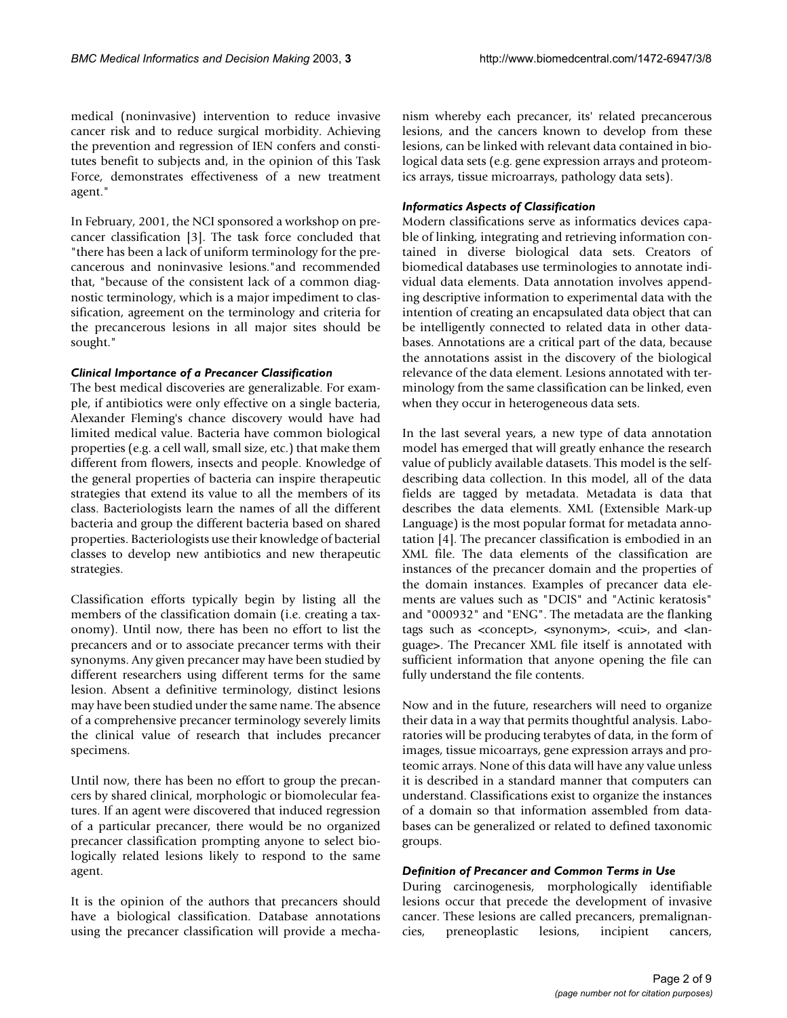medical (noninvasive) intervention to reduce invasive cancer risk and to reduce surgical morbidity. Achieving the prevention and regression of IEN confers and constitutes benefit to subjects and, in the opinion of this Task Force, demonstrates effectiveness of a new treatment agent."

In February, 2001, the NCI sponsored a workshop on precancer classification [3]. The task force concluded that "there has been a lack of uniform terminology for the precancerous and noninvasive lesions."and recommended that, "because of the consistent lack of a common diagnostic terminology, which is a major impediment to classification, agreement on the terminology and criteria for the precancerous lesions in all major sites should be sought."

#### *Clinical Importance of a Precancer Classification*

The best medical discoveries are generalizable. For example, if antibiotics were only effective on a single bacteria, Alexander Fleming's chance discovery would have had limited medical value. Bacteria have common biological properties (e.g. a cell wall, small size, etc.) that make them different from flowers, insects and people. Knowledge of the general properties of bacteria can inspire therapeutic strategies that extend its value to all the members of its class. Bacteriologists learn the names of all the different bacteria and group the different bacteria based on shared properties. Bacteriologists use their knowledge of bacterial classes to develop new antibiotics and new therapeutic strategies.

Classification efforts typically begin by listing all the members of the classification domain (i.e. creating a taxonomy). Until now, there has been no effort to list the precancers and or to associate precancer terms with their synonyms. Any given precancer may have been studied by different researchers using different terms for the same lesion. Absent a definitive terminology, distinct lesions may have been studied under the same name. The absence of a comprehensive precancer terminology severely limits the clinical value of research that includes precancer specimens.

Until now, there has been no effort to group the precancers by shared clinical, morphologic or biomolecular features. If an agent were discovered that induced regression of a particular precancer, there would be no organized precancer classification prompting anyone to select biologically related lesions likely to respond to the same agent.

It is the opinion of the authors that precancers should have a biological classification. Database annotations using the precancer classification will provide a mechanism whereby each precancer, its' related precancerous lesions, and the cancers known to develop from these lesions, can be linked with relevant data contained in biological data sets (e.g. gene expression arrays and proteomics arrays, tissue microarrays, pathology data sets).

#### *Informatics Aspects of Classification*

Modern classifications serve as informatics devices capable of linking, integrating and retrieving information contained in diverse biological data sets. Creators of biomedical databases use terminologies to annotate individual data elements. Data annotation involves appending descriptive information to experimental data with the intention of creating an encapsulated data object that can be intelligently connected to related data in other databases. Annotations are a critical part of the data, because the annotations assist in the discovery of the biological relevance of the data element. Lesions annotated with terminology from the same classification can be linked, even when they occur in heterogeneous data sets.

In the last several years, a new type of data annotation model has emerged that will greatly enhance the research value of publicly available datasets. This model is the selfdescribing data collection. In this model, all of the data fields are tagged by metadata. Metadata is data that describes the data elements. XML (Extensible Mark-up Language) is the most popular format for metadata annotation [4]. The precancer classification is embodied in an XML file. The data elements of the classification are instances of the precancer domain and the properties of the domain instances. Examples of precancer data elements are values such as "DCIS" and "Actinic keratosis" and "000932" and "ENG". The metadata are the flanking tags such as <concept>, <synonym>, <cui>, and <language>. The Precancer XML file itself is annotated with sufficient information that anyone opening the file can fully understand the file contents.

Now and in the future, researchers will need to organize their data in a way that permits thoughtful analysis. Laboratories will be producing terabytes of data, in the form of images, tissue micoarrays, gene expression arrays and proteomic arrays. None of this data will have any value unless it is described in a standard manner that computers can understand. Classifications exist to organize the instances of a domain so that information assembled from databases can be generalized or related to defined taxonomic groups.

# *Definition of Precancer and Common Terms in Use*

During carcinogenesis, morphologically identifiable lesions occur that precede the development of invasive cancer. These lesions are called precancers, premalignancies, preneoplastic lesions, incipient cancers,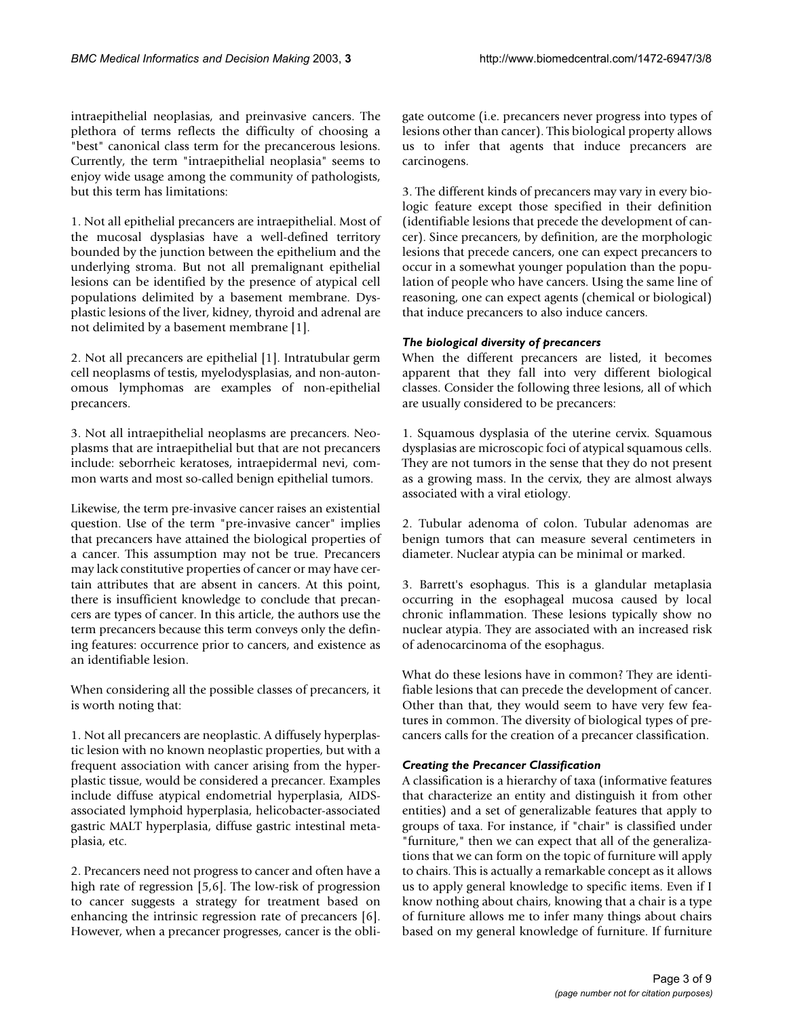intraepithelial neoplasias, and preinvasive cancers. The plethora of terms reflects the difficulty of choosing a "best" canonical class term for the precancerous lesions. Currently, the term "intraepithelial neoplasia" seems to enjoy wide usage among the community of pathologists, but this term has limitations:

1. Not all epithelial precancers are intraepithelial. Most of the mucosal dysplasias have a well-defined territory bounded by the junction between the epithelium and the underlying stroma. But not all premalignant epithelial lesions can be identified by the presence of atypical cell populations delimited by a basement membrane. Dysplastic lesions of the liver, kidney, thyroid and adrenal are not delimited by a basement membrane [1].

2. Not all precancers are epithelial [1]. Intratubular germ cell neoplasms of testis, myelodysplasias, and non-autonomous lymphomas are examples of non-epithelial precancers.

3. Not all intraepithelial neoplasms are precancers. Neoplasms that are intraepithelial but that are not precancers include: seborrheic keratoses, intraepidermal nevi, common warts and most so-called benign epithelial tumors.

Likewise, the term pre-invasive cancer raises an existential question. Use of the term "pre-invasive cancer" implies that precancers have attained the biological properties of a cancer. This assumption may not be true. Precancers may lack constitutive properties of cancer or may have certain attributes that are absent in cancers. At this point, there is insufficient knowledge to conclude that precancers are types of cancer. In this article, the authors use the term precancers because this term conveys only the defining features: occurrence prior to cancers, and existence as an identifiable lesion.

When considering all the possible classes of precancers, it is worth noting that:

1. Not all precancers are neoplastic. A diffusely hyperplastic lesion with no known neoplastic properties, but with a frequent association with cancer arising from the hyperplastic tissue, would be considered a precancer. Examples include diffuse atypical endometrial hyperplasia, AIDSassociated lymphoid hyperplasia, helicobacter-associated gastric MALT hyperplasia, diffuse gastric intestinal metaplasia, etc.

2. Precancers need not progress to cancer and often have a high rate of regression [5,6]. The low-risk of progression to cancer suggests a strategy for treatment based on enhancing the intrinsic regression rate of precancers [6]. However, when a precancer progresses, cancer is the obligate outcome (i.e. precancers never progress into types of lesions other than cancer). This biological property allows us to infer that agents that induce precancers are carcinogens.

3. The different kinds of precancers may vary in every biologic feature except those specified in their definition (identifiable lesions that precede the development of cancer). Since precancers, by definition, are the morphologic lesions that precede cancers, one can expect precancers to occur in a somewhat younger population than the population of people who have cancers. Using the same line of reasoning, one can expect agents (chemical or biological) that induce precancers to also induce cancers.

# *The biological diversity of precancers*

When the different precancers are listed, it becomes apparent that they fall into very different biological classes. Consider the following three lesions, all of which are usually considered to be precancers:

1. Squamous dysplasia of the uterine cervix. Squamous dysplasias are microscopic foci of atypical squamous cells. They are not tumors in the sense that they do not present as a growing mass. In the cervix, they are almost always associated with a viral etiology.

2. Tubular adenoma of colon. Tubular adenomas are benign tumors that can measure several centimeters in diameter. Nuclear atypia can be minimal or marked.

3. Barrett's esophagus. This is a glandular metaplasia occurring in the esophageal mucosa caused by local chronic inflammation. These lesions typically show no nuclear atypia. They are associated with an increased risk of adenocarcinoma of the esophagus.

What do these lesions have in common? They are identifiable lesions that can precede the development of cancer. Other than that, they would seem to have very few features in common. The diversity of biological types of precancers calls for the creation of a precancer classification.

# *Creating the Precancer Classification*

A classification is a hierarchy of taxa (informative features that characterize an entity and distinguish it from other entities) and a set of generalizable features that apply to groups of taxa. For instance, if "chair" is classified under "furniture," then we can expect that all of the generalizations that we can form on the topic of furniture will apply to chairs. This is actually a remarkable concept as it allows us to apply general knowledge to specific items. Even if I know nothing about chairs, knowing that a chair is a type of furniture allows me to infer many things about chairs based on my general knowledge of furniture. If furniture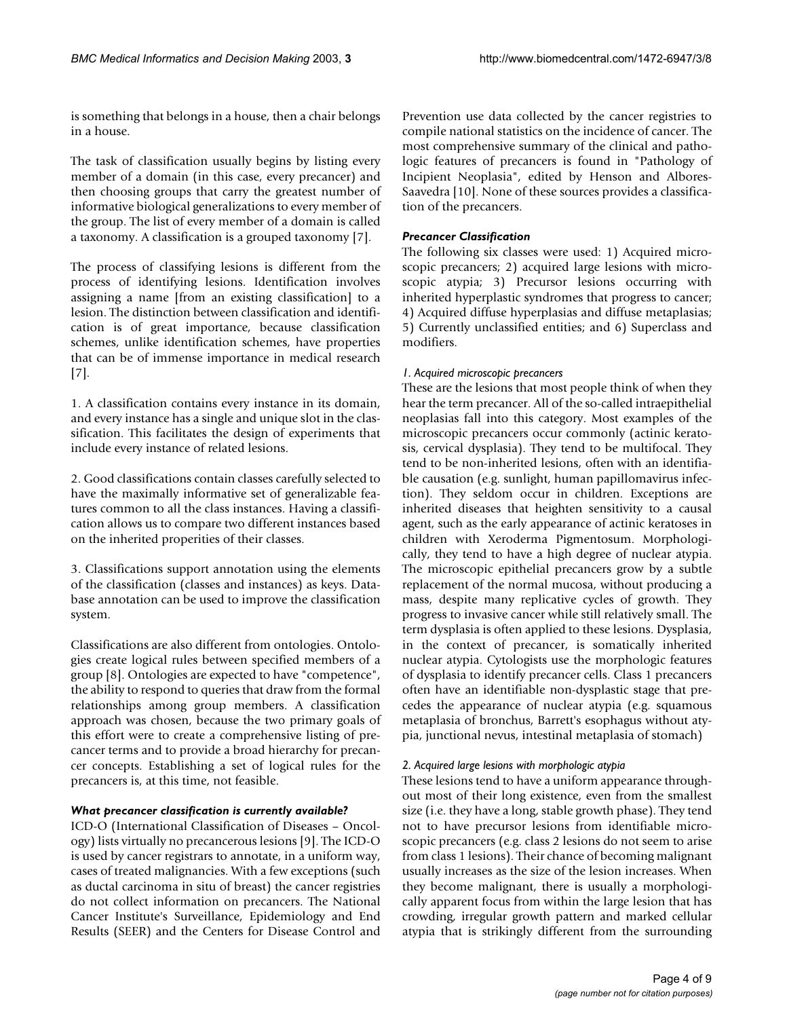is something that belongs in a house, then a chair belongs in a house.

The task of classification usually begins by listing every member of a domain (in this case, every precancer) and then choosing groups that carry the greatest number of informative biological generalizations to every member of the group. The list of every member of a domain is called a taxonomy. A classification is a grouped taxonomy [7].

The process of classifying lesions is different from the process of identifying lesions. Identification involves assigning a name [from an existing classification] to a lesion. The distinction between classification and identification is of great importance, because classification schemes, unlike identification schemes, have properties that can be of immense importance in medical research [7].

1. A classification contains every instance in its domain, and every instance has a single and unique slot in the classification. This facilitates the design of experiments that include every instance of related lesions.

2. Good classifications contain classes carefully selected to have the maximally informative set of generalizable features common to all the class instances. Having a classification allows us to compare two different instances based on the inherited properities of their classes.

3. Classifications support annotation using the elements of the classification (classes and instances) as keys. Database annotation can be used to improve the classification system.

Classifications are also different from ontologies. Ontologies create logical rules between specified members of a group [8]. Ontologies are expected to have "competence", the ability to respond to queries that draw from the formal relationships among group members. A classification approach was chosen, because the two primary goals of this effort were to create a comprehensive listing of precancer terms and to provide a broad hierarchy for precancer concepts. Establishing a set of logical rules for the precancers is, at this time, not feasible.

# *What precancer classification is currently available?*

ICD-O (International Classification of Diseases – Oncology) lists virtually no precancerous lesions [9]. The ICD-O is used by cancer registrars to annotate, in a uniform way, cases of treated malignancies. With a few exceptions (such as ductal carcinoma in situ of breast) the cancer registries do not collect information on precancers. The National Cancer Institute's Surveillance, Epidemiology and End Results (SEER) and the Centers for Disease Control and Prevention use data collected by the cancer registries to compile national statistics on the incidence of cancer. The most comprehensive summary of the clinical and pathologic features of precancers is found in "Pathology of Incipient Neoplasia", edited by Henson and Albores-Saavedra [10]. None of these sources provides a classification of the precancers.

#### *Precancer Classification*

The following six classes were used: 1) Acquired microscopic precancers; 2) acquired large lesions with microscopic atypia; 3) Precursor lesions occurring with inherited hyperplastic syndromes that progress to cancer; 4) Acquired diffuse hyperplasias and diffuse metaplasias; 5) Currently unclassified entities; and 6) Superclass and modifiers.

#### *1. Acquired microscopic precancers*

These are the lesions that most people think of when they hear the term precancer. All of the so-called intraepithelial neoplasias fall into this category. Most examples of the microscopic precancers occur commonly (actinic keratosis, cervical dysplasia). They tend to be multifocal. They tend to be non-inherited lesions, often with an identifiable causation (e.g. sunlight, human papillomavirus infection). They seldom occur in children. Exceptions are inherited diseases that heighten sensitivity to a causal agent, such as the early appearance of actinic keratoses in children with Xeroderma Pigmentosum. Morphologically, they tend to have a high degree of nuclear atypia. The microscopic epithelial precancers grow by a subtle replacement of the normal mucosa, without producing a mass, despite many replicative cycles of growth. They progress to invasive cancer while still relatively small. The term dysplasia is often applied to these lesions. Dysplasia, in the context of precancer, is somatically inherited nuclear atypia. Cytologists use the morphologic features of dysplasia to identify precancer cells. Class 1 precancers often have an identifiable non-dysplastic stage that precedes the appearance of nuclear atypia (e.g. squamous metaplasia of bronchus, Barrett's esophagus without atypia, junctional nevus, intestinal metaplasia of stomach)

#### *2. Acquired large lesions with morphologic atypia*

These lesions tend to have a uniform appearance throughout most of their long existence, even from the smallest size (i.e. they have a long, stable growth phase). They tend not to have precursor lesions from identifiable microscopic precancers (e.g. class 2 lesions do not seem to arise from class 1 lesions). Their chance of becoming malignant usually increases as the size of the lesion increases. When they become malignant, there is usually a morphologically apparent focus from within the large lesion that has crowding, irregular growth pattern and marked cellular atypia that is strikingly different from the surrounding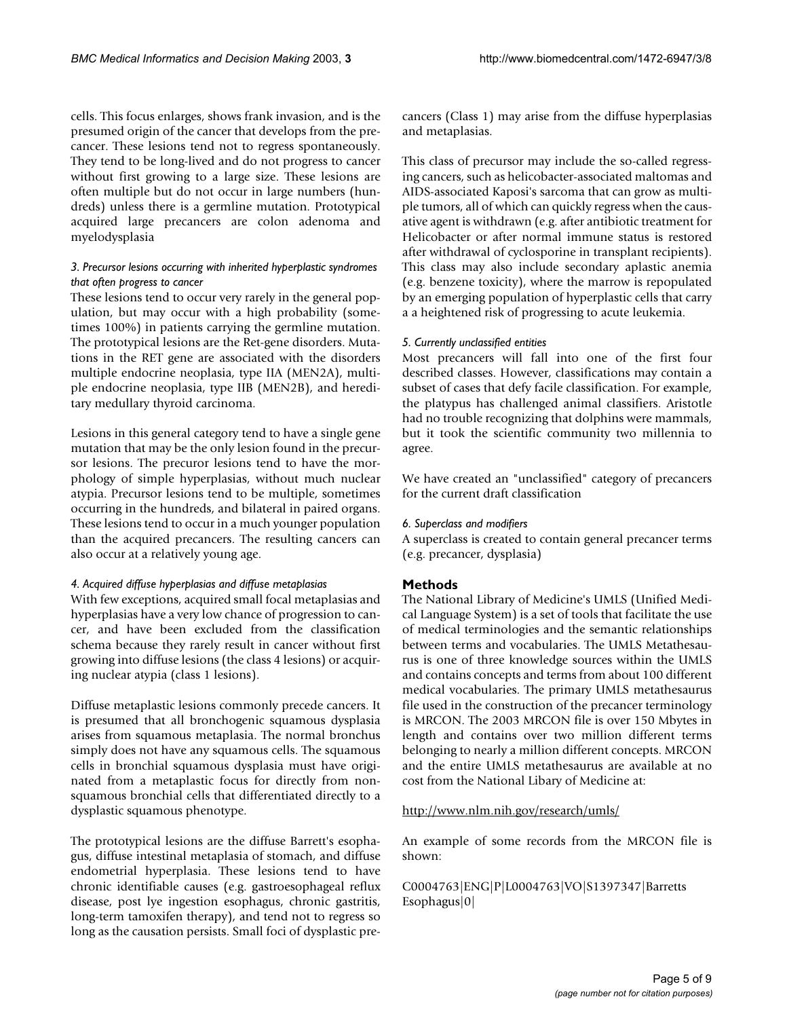cells. This focus enlarges, shows frank invasion, and is the presumed origin of the cancer that develops from the precancer. These lesions tend not to regress spontaneously. They tend to be long-lived and do not progress to cancer without first growing to a large size. These lesions are often multiple but do not occur in large numbers (hundreds) unless there is a germline mutation. Prototypical acquired large precancers are colon adenoma and myelodysplasia

# *3. Precursor lesions occurring with inherited hyperplastic syndromes that often progress to cancer*

These lesions tend to occur very rarely in the general population, but may occur with a high probability (sometimes 100%) in patients carrying the germline mutation. The prototypical lesions are the Ret-gene disorders. Mutations in the RET gene are associated with the disorders multiple endocrine neoplasia, type IIA (MEN2A), multiple endocrine neoplasia, type IIB (MEN2B), and hereditary medullary thyroid carcinoma.

Lesions in this general category tend to have a single gene mutation that may be the only lesion found in the precursor lesions. The precuror lesions tend to have the morphology of simple hyperplasias, without much nuclear atypia. Precursor lesions tend to be multiple, sometimes occurring in the hundreds, and bilateral in paired organs. These lesions tend to occur in a much younger population than the acquired precancers. The resulting cancers can also occur at a relatively young age.

#### *4. Acquired diffuse hyperplasias and diffuse metaplasias*

With few exceptions, acquired small focal metaplasias and hyperplasias have a very low chance of progression to cancer, and have been excluded from the classification schema because they rarely result in cancer without first growing into diffuse lesions (the class 4 lesions) or acquiring nuclear atypia (class 1 lesions).

Diffuse metaplastic lesions commonly precede cancers. It is presumed that all bronchogenic squamous dysplasia arises from squamous metaplasia. The normal bronchus simply does not have any squamous cells. The squamous cells in bronchial squamous dysplasia must have originated from a metaplastic focus for directly from nonsquamous bronchial cells that differentiated directly to a dysplastic squamous phenotype.

The prototypical lesions are the diffuse Barrett's esophagus, diffuse intestinal metaplasia of stomach, and diffuse endometrial hyperplasia. These lesions tend to have chronic identifiable causes (e.g. gastroesophageal reflux disease, post lye ingestion esophagus, chronic gastritis, long-term tamoxifen therapy), and tend not to regress so long as the causation persists. Small foci of dysplastic precancers (Class 1) may arise from the diffuse hyperplasias and metaplasias.

This class of precursor may include the so-called regressing cancers, such as helicobacter-associated maltomas and AIDS-associated Kaposi's sarcoma that can grow as multiple tumors, all of which can quickly regress when the causative agent is withdrawn (e.g. after antibiotic treatment for Helicobacter or after normal immune status is restored after withdrawal of cyclosporine in transplant recipients). This class may also include secondary aplastic anemia (e.g. benzene toxicity), where the marrow is repopulated by an emerging population of hyperplastic cells that carry a a heightened risk of progressing to acute leukemia.

#### *5. Currently unclassified entities*

Most precancers will fall into one of the first four described classes. However, classifications may contain a subset of cases that defy facile classification. For example, the platypus has challenged animal classifiers. Aristotle had no trouble recognizing that dolphins were mammals, but it took the scientific community two millennia to agree.

We have created an "unclassified" category of precancers for the current draft classification

#### *6. Superclass and modifiers*

A superclass is created to contain general precancer terms (e.g. precancer, dysplasia)

#### **Methods**

The National Library of Medicine's UMLS (Unified Medical Language System) is a set of tools that facilitate the use of medical terminologies and the semantic relationships between terms and vocabularies. The UMLS Metathesaurus is one of three knowledge sources within the UMLS and contains concepts and terms from about 100 different medical vocabularies. The primary UMLS metathesaurus file used in the construction of the precancer terminology is MRCON. The 2003 MRCON file is over 150 Mbytes in length and contains over two million different terms belonging to nearly a million different concepts. MRCON and the entire UMLS metathesaurus are available at no cost from the National Libary of Medicine at:

#### http://www.nlm.nih.gov/research/umls/

An example of some records from the MRCON file is shown:

C0004763|ENG|P|L0004763|VO|S1397347|Barretts Esophagus|0|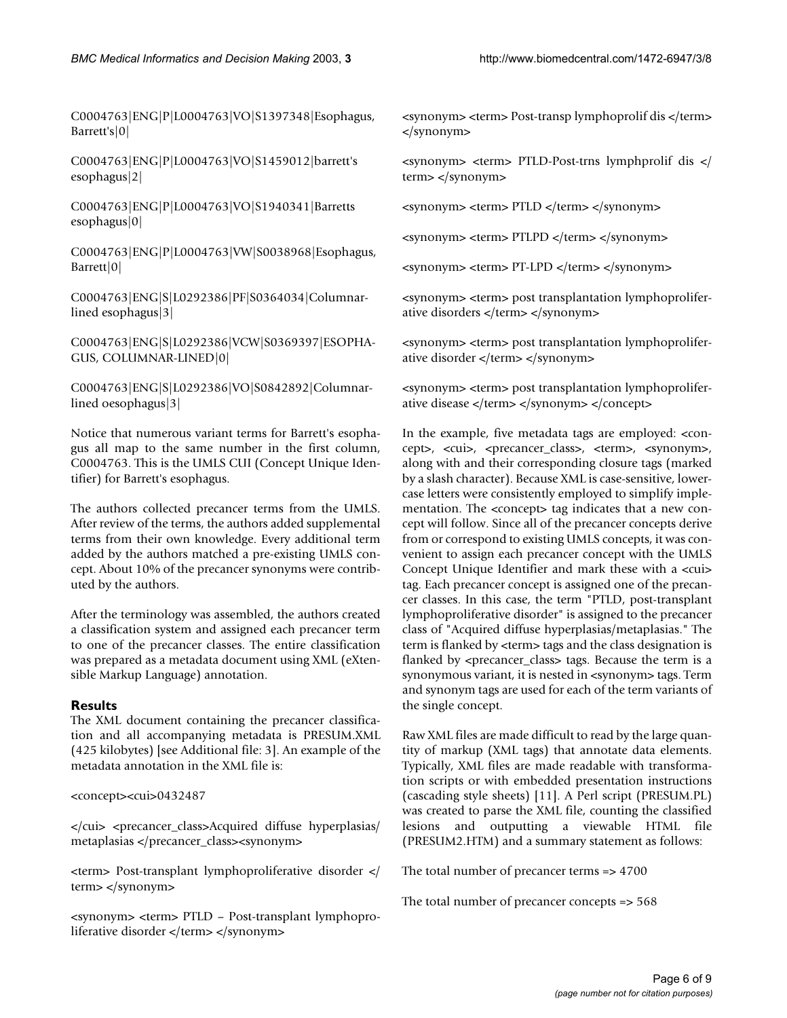C0004763|ENG|P|L0004763|VO|S1397348|Esophagus, Barrett's|0|

C0004763|ENG|P|L0004763|VO|S1459012|barrett's esophagus|2|

C0004763|ENG|P|L0004763|VO|S1940341|Barretts esophagus|0|

C0004763|ENG|P|L0004763|VW|S0038968|Esophagus, Barrett|0|

C0004763|ENG|S|L0292386|PF|S0364034|Columnarlined esophagus|3|

C0004763|ENG|S|L0292386|VCW|S0369397|ESOPHA-GUS, COLUMNAR-LINED|0|

C0004763|ENG|S|L0292386|VO|S0842892|Columnarlined oesophagus|3|

Notice that numerous variant terms for Barrett's esophagus all map to the same number in the first column, C0004763. This is the UMLS CUI (Concept Unique Identifier) for Barrett's esophagus.

The authors collected precancer terms from the UMLS. After review of the terms, the authors added supplemental terms from their own knowledge. Every additional term added by the authors matched a pre-existing UMLS concept. About 10% of the precancer synonyms were contributed by the authors.

After the terminology was assembled, the authors created a classification system and assigned each precancer term to one of the precancer classes. The entire classification was prepared as a metadata document using XML (eXtensible Markup Language) annotation.

# **Results**

The XML document containing the precancer classification and all accompanying metadata is PRESUM.XML (425 kilobytes) [see Additional file: 3]. An example of the metadata annotation in the XML file is:

<concept><cui>0432487

</cui> <precancer\_class>Acquired diffuse hyperplasias/ metaplasias </precancer\_class><synonym>

<term> Post-transplant lymphoproliferative disorder </ term> </synonym>

<synonym> <term> PTLD – Post-transplant lymphoproliferative disorder </term> </synonym>

<synonym> <term> Post-transp lymphoprolif dis </term> </synonym>

<synonym> <term> PTLD-Post-trns lymphprolif dis </ term> </synonym>

<synonym> <term> PTLD </term> </synonym>

<synonym> <term> PTLPD </term> </synonym>

<synonym> <term> PT-LPD </term> </synonym>

<synonym> <term> post transplantation lymphoproliferative disorders </term> </synonym>

<synonym> <term> post transplantation lymphoproliferative disorder </term> </synonym>

<synonym> <term> post transplantation lymphoproliferative disease </term> </synonym> </concept>

In the example, five metadata tags are employed: <concept>, <cui>, <precancer\_class>, <term>, <synonym>, along with and their corresponding closure tags (marked by a slash character). Because XML is case-sensitive, lowercase letters were consistently employed to simplify implementation. The <concept> tag indicates that a new concept will follow. Since all of the precancer concepts derive from or correspond to existing UMLS concepts, it was convenient to assign each precancer concept with the UMLS Concept Unique Identifier and mark these with a <cui> tag. Each precancer concept is assigned one of the precancer classes. In this case, the term "PTLD, post-transplant lymphoproliferative disorder" is assigned to the precancer class of "Acquired diffuse hyperplasias/metaplasias." The term is flanked by <term> tags and the class designation is flanked by <precancer\_class> tags. Because the term is a synonymous variant, it is nested in <synonym> tags. Term and synonym tags are used for each of the term variants of the single concept.

Raw XML files are made difficult to read by the large quantity of markup (XML tags) that annotate data elements. Typically, XML files are made readable with transformation scripts or with embedded presentation instructions (cascading style sheets) [11]. A Perl script (PRESUM.PL) was created to parse the XML file, counting the classified lesions and outputting a viewable HTML file (PRESUM2.HTM) and a summary statement as follows:

The total number of precancer terms => 4700

The total number of precancer concepts => 568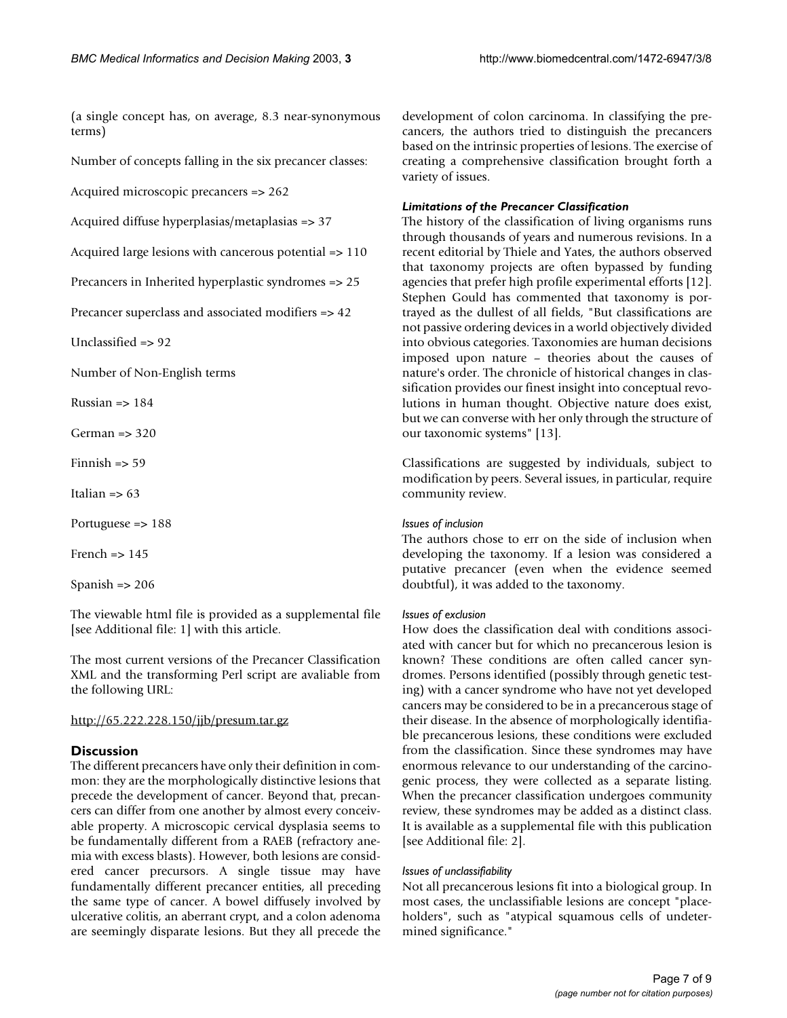(a single concept has, on average, 8.3 near-synonymous terms)

Number of concepts falling in the six precancer classes:

Acquired microscopic precancers => 262

Acquired diffuse hyperplasias/metaplasias => 37

Acquired large lesions with cancerous potential => 110

Precancers in Inherited hyperplastic syndromes => 25

Precancer superclass and associated modifiers => 42

Unclassified => 92

Number of Non-English terms

Russian  $\approx$  184

German  $\Rightarrow$  320

Finnish  $\approx$  59

Italian  $\equiv$  63

Portuguese => 188

French  $\approx$  145

Spanish  $\approx$  206

The viewable html file is provided as a supplemental file [see Additional file: 1] with this article.

The most current versions of the Precancer Classification XML and the transforming Perl script are avaliable from the following URL:

# http://65.222.228.150/jjb/presum.tar.gz

# **Discussion**

The different precancers have only their definition in common: they are the morphologically distinctive lesions that precede the development of cancer. Beyond that, precancers can differ from one another by almost every conceivable property. A microscopic cervical dysplasia seems to be fundamentally different from a RAEB (refractory anemia with excess blasts). However, both lesions are considered cancer precursors. A single tissue may have fundamentally different precancer entities, all preceding the same type of cancer. A bowel diffusely involved by ulcerative colitis, an aberrant crypt, and a colon adenoma are seemingly disparate lesions. But they all precede the development of colon carcinoma. In classifying the precancers, the authors tried to distinguish the precancers based on the intrinsic properties of lesions. The exercise of creating a comprehensive classification brought forth a variety of issues.

#### *Limitations of the Precancer Classification*

The history of the classification of living organisms runs through thousands of years and numerous revisions. In a recent editorial by Thiele and Yates, the authors observed that taxonomy projects are often bypassed by funding agencies that prefer high profile experimental efforts [12]. Stephen Gould has commented that taxonomy is portrayed as the dullest of all fields, "But classifications are not passive ordering devices in a world objectively divided into obvious categories. Taxonomies are human decisions imposed upon nature – theories about the causes of nature's order. The chronicle of historical changes in classification provides our finest insight into conceptual revolutions in human thought. Objective nature does exist, but we can converse with her only through the structure of our taxonomic systems" [13].

Classifications are suggested by individuals, subject to modification by peers. Several issues, in particular, require community review.

#### *Issues of inclusion*

The authors chose to err on the side of inclusion when developing the taxonomy. If a lesion was considered a putative precancer (even when the evidence seemed doubtful), it was added to the taxonomy.

#### *Issues of exclusion*

How does the classification deal with conditions associated with cancer but for which no precancerous lesion is known? These conditions are often called cancer syndromes. Persons identified (possibly through genetic testing) with a cancer syndrome who have not yet developed cancers may be considered to be in a precancerous stage of their disease. In the absence of morphologically identifiable precancerous lesions, these conditions were excluded from the classification. Since these syndromes may have enormous relevance to our understanding of the carcinogenic process, they were collected as a separate listing. When the precancer classification undergoes community review, these syndromes may be added as a distinct class. It is available as a supplemental file with this publication [see Additional file: 2].

#### *Issues of unclassifiability*

Not all precancerous lesions fit into a biological group. In most cases, the unclassifiable lesions are concept "placeholders", such as "atypical squamous cells of undetermined significance."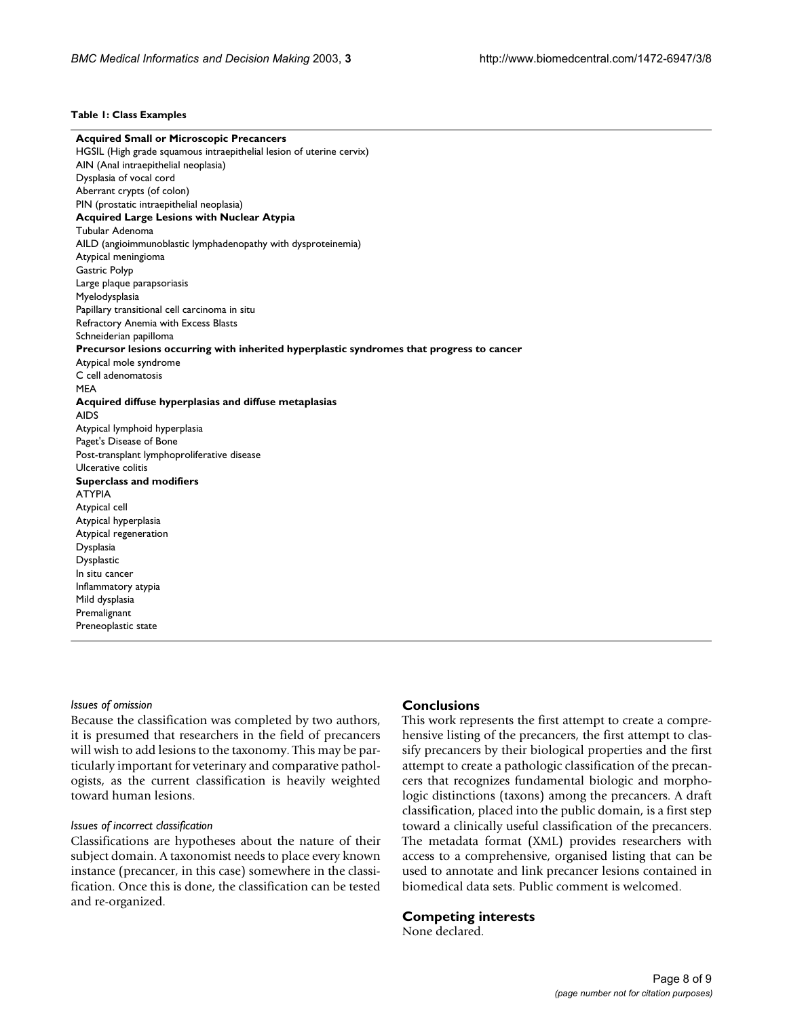#### **Table 1: Class Examples**

**Acquired Small or Microscopic Precancers** HGSIL (High grade squamous intraepithelial lesion of uterine cervix) AIN (Anal intraepithelial neoplasia) Dysplasia of vocal cord Aberrant crypts (of colon) PIN (prostatic intraepithelial neoplasia) **Acquired Large Lesions with Nuclear Atypia** Tubular Adenoma AILD (angioimmunoblastic lymphadenopathy with dysproteinemia) Atypical meningioma Gastric Polyp Large plaque parapsoriasis Myelodysplasia Papillary transitional cell carcinoma in situ Refractory Anemia with Excess Blasts Schneiderian papilloma **Precursor lesions occurring with inherited hyperplastic syndromes that progress to cancer** Atypical mole syndrome C cell adenomatosis MEA **Acquired diffuse hyperplasias and diffuse metaplasias** AIDS Atypical lymphoid hyperplasia Paget's Disease of Bone Post-transplant lymphoproliferative disease Ulcerative colitis **Superclass and modifiers** ATYPIA Atypical cell Atypical hyperplasia Atypical regeneration Dysplasia Dysplastic In situ cancer Inflammatory atypia Mild dysplasia Premalignant Preneoplastic state

#### *Issues of omission*

Because the classification was completed by two authors, it is presumed that researchers in the field of precancers will wish to add lesions to the taxonomy. This may be particularly important for veterinary and comparative pathologists, as the current classification is heavily weighted toward human lesions.

#### *Issues of incorrect classification*

Classifications are hypotheses about the nature of their subject domain. A taxonomist needs to place every known instance (precancer, in this case) somewhere in the classification. Once this is done, the classification can be tested and re-organized.

# **Conclusions**

This work represents the first attempt to create a comprehensive listing of the precancers, the first attempt to classify precancers by their biological properties and the first attempt to create a pathologic classification of the precancers that recognizes fundamental biologic and morphologic distinctions (taxons) among the precancers. A draft classification, placed into the public domain, is a first step toward a clinically useful classification of the precancers. The metadata format (XML) provides researchers with access to a comprehensive, organised listing that can be used to annotate and link precancer lesions contained in biomedical data sets. Public comment is welcomed.

# **Competing interests**

None declared.